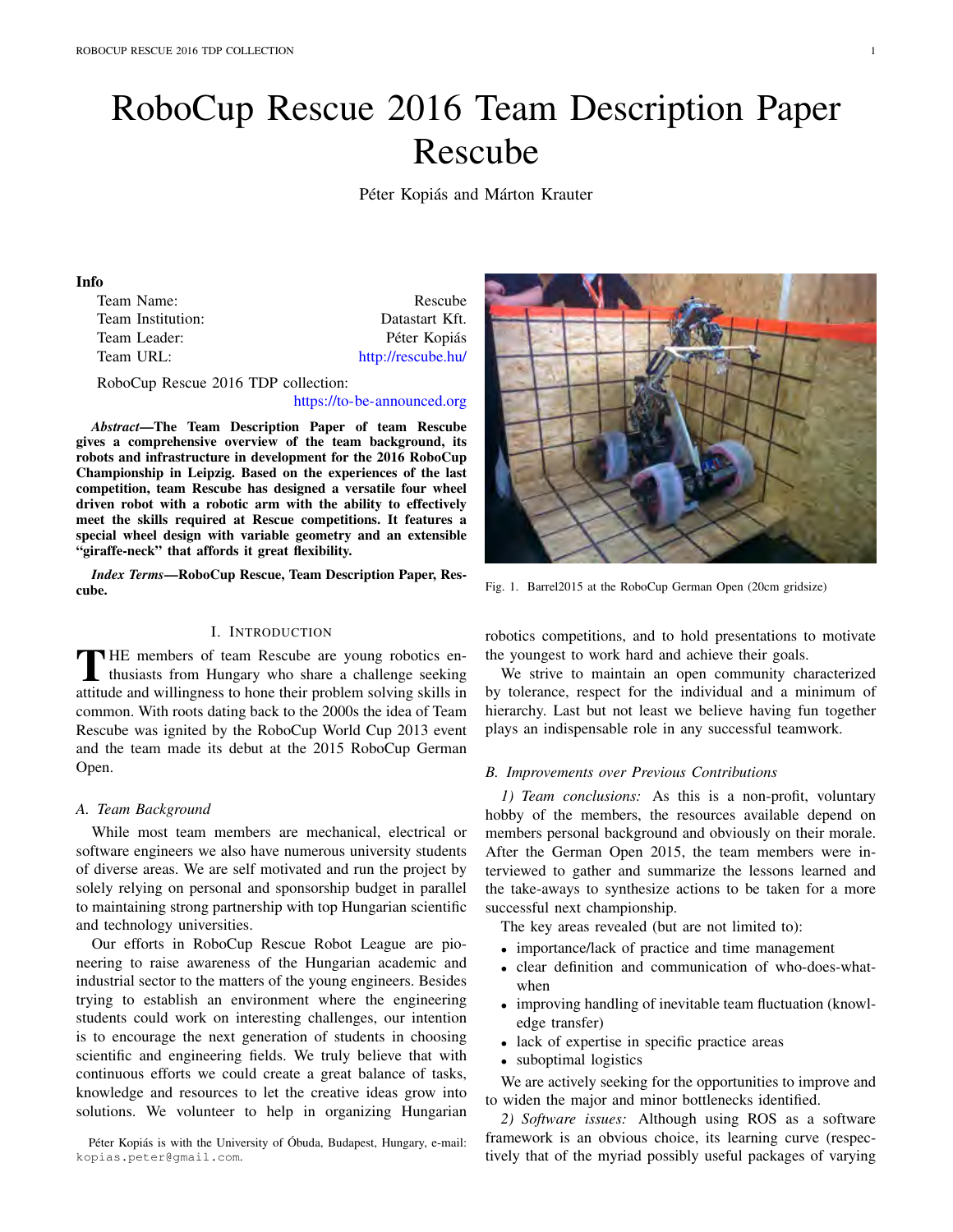# RoboCup Rescue 2016 Team Description Paper Rescube

Péter Kopiás and Márton Krauter

#### Info

| Team Name:        | Rescube            |
|-------------------|--------------------|
| Team Institution: | Datastart Kft.     |
| Team Leader:      | Péter Kopiás       |
| Team URL:         | http://rescube.hu/ |
|                   |                    |

RoboCup Rescue 2016 TDP collection:

#### https://to-be-announced.org

*Abstract*—The Team Description Paper of team Rescube gives a comprehensive overview of the team background, its robots and infrastructure in development for the 2016 RoboCup Championship in Leipzig. Based on the experiences of the last competition, team Rescube has designed a versatile four wheel driven robot with a robotic arm with the ability to effectively meet the skills required at Rescue competitions. It features a special wheel design with variable geometry and an extensible "giraffe-neck" that affords it great flexibility.

*Index Terms*—RoboCup Rescue, Team Description Paper, Rescube.

## I. INTRODUCTION

THE members of team Rescube are young robotics en-<br>thusiasts from Hungary who share a challenge seeking attitude and willingness to hone their problem solving skills in common. With roots dating back to the 2000s the idea of Team Rescube was ignited by the RoboCup World Cup 2013 event and the team made its debut at the 2015 RoboCup German Open.

#### *A. Team Background*

While most team members are mechanical, electrical or software engineers we also have numerous university students of diverse areas. We are self motivated and run the project by solely relying on personal and sponsorship budget in parallel to maintaining strong partnership with top Hungarian scientific and technology universities.

Our efforts in RoboCup Rescue Robot League are pioneering to raise awareness of the Hungarian academic and industrial sector to the matters of the young engineers. Besides trying to establish an environment where the engineering students could work on interesting challenges, our intention is to encourage the next generation of students in choosing scientific and engineering fields. We truly believe that with continuous efforts we could create a great balance of tasks, knowledge and resources to let the creative ideas grow into solutions. We volunteer to help in organizing Hungarian

Péter Kopiás is with the University of Óbuda, Budapest, Hungary, e-mail: kopias.peter@gmail.com.



Fig. 1. Barrel2015 at the RoboCup German Open (20cm gridsize)

robotics competitions, and to hold presentations to motivate the youngest to work hard and achieve their goals.

We strive to maintain an open community characterized by tolerance, respect for the individual and a minimum of hierarchy. Last but not least we believe having fun together plays an indispensable role in any successful teamwork.

#### *B. Improvements over Previous Contributions*

*1) Team conclusions:* As this is a non-profit, voluntary hobby of the members, the resources available depend on members personal background and obviously on their morale. After the German Open 2015, the team members were interviewed to gather and summarize the lessons learned and the take-aways to synthesize actions to be taken for a more successful next championship.

The key areas revealed (but are not limited to):

- importance/lack of practice and time management
- clear definition and communication of who-does-whatwhen
- improving handling of inevitable team fluctuation (knowledge transfer)
- lack of expertise in specific practice areas
- suboptimal logistics

We are actively seeking for the opportunities to improve and to widen the major and minor bottlenecks identified.

*2) Software issues:* Although using ROS as a software framework is an obvious choice, its learning curve (respectively that of the myriad possibly useful packages of varying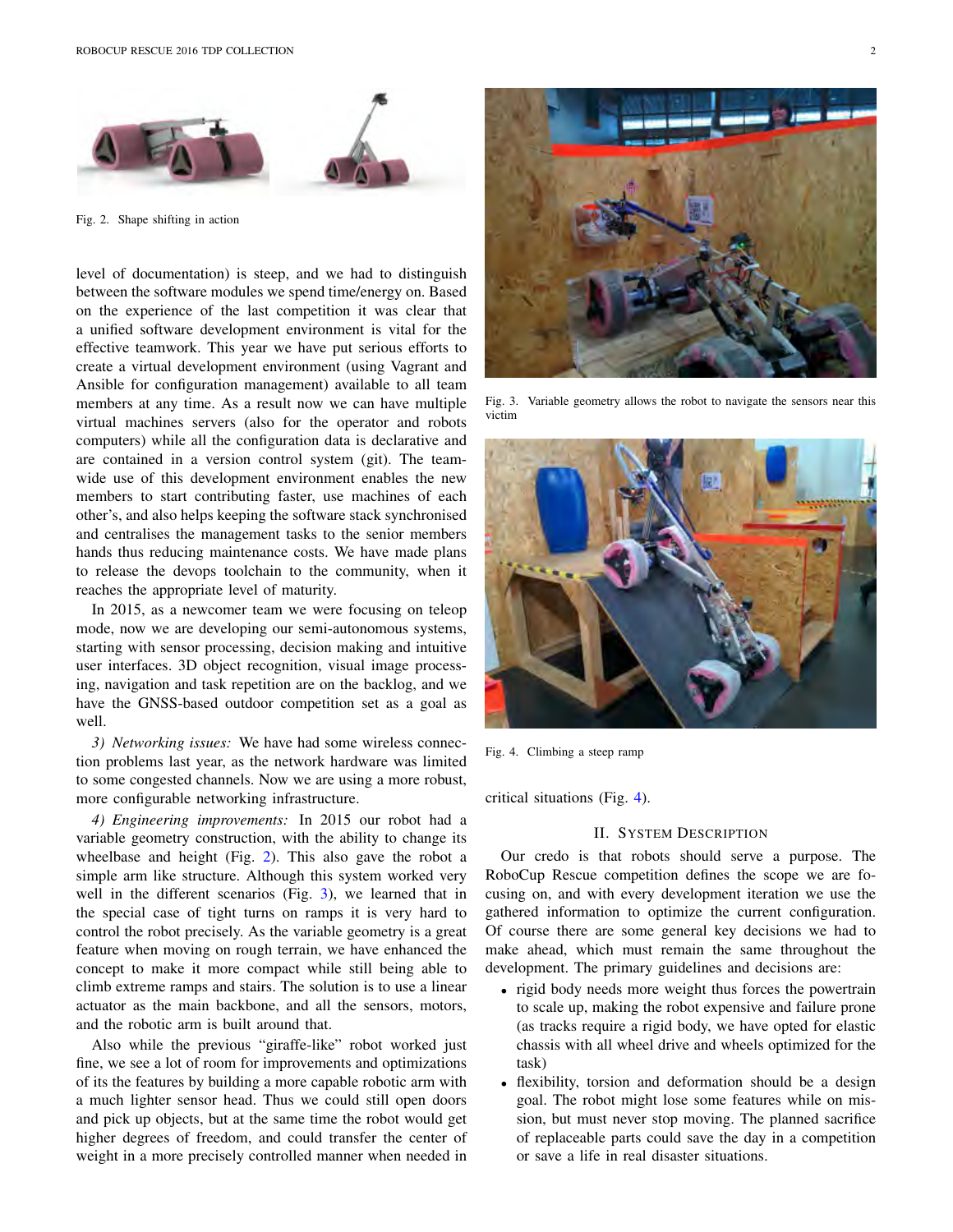

Fig. 2. Shape shifting in action

level of documentation) is steep, and we had to distinguish between the software modules we spend time/energy on. Based on the experience of the last competition it was clear that a unified software development environment is vital for the effective teamwork. This year we have put serious efforts to create a virtual development environment (using Vagrant and Ansible for configuration management) available to all team members at any time. As a result now we can have multiple virtual machines servers (also for the operator and robots computers) while all the configuration data is declarative and are contained in a version control system (git). The teamwide use of this development environment enables the new members to start contributing faster, use machines of each other's, and also helps keeping the software stack synchronised and centralises the management tasks to the senior members hands thus reducing maintenance costs. We have made plans to release the devops toolchain to the community, when it reaches the appropriate level of maturity.

In 2015, as a newcomer team we were focusing on teleop mode, now we are developing our semi-autonomous systems, starting with sensor processing, decision making and intuitive user interfaces. 3D object recognition, visual image processing, navigation and task repetition are on the backlog, and we have the GNSS-based outdoor competition set as a goal as well.

*3) Networking issues:* We have had some wireless connection problems last year, as the network hardware was limited to some congested channels. Now we are using a more robust, more configurable networking infrastructure.

*4) Engineering improvements:* In 2015 our robot had a variable geometry construction, with the ability to change its wheelbase and height (Fig. 2). This also gave the robot a simple arm like structure. Although this system worked very well in the different scenarios (Fig. 3), we learned that in the special case of tight turns on ramps it is very hard to control the robot precisely. As the variable geometry is a great feature when moving on rough terrain, we have enhanced the concept to make it more compact while still being able to climb extreme ramps and stairs. The solution is to use a linear actuator as the main backbone, and all the sensors, motors, and the robotic arm is built around that.

Also while the previous "giraffe-like" robot worked just fine, we see a lot of room for improvements and optimizations of its the features by building a more capable robotic arm with a much lighter sensor head. Thus we could still open doors and pick up objects, but at the same time the robot would get higher degrees of freedom, and could transfer the center of weight in a more precisely controlled manner when needed in



Fig. 3. Variable geometry allows the robot to navigate the sensors near this victim



Fig. 4. Climbing a steep ramp

critical situations (Fig. 4).

## II. SYSTEM DESCRIPTION

Our credo is that robots should serve a purpose. The RoboCup Rescue competition defines the scope we are focusing on, and with every development iteration we use the gathered information to optimize the current configuration. Of course there are some general key decisions we had to make ahead, which must remain the same throughout the development. The primary guidelines and decisions are:

- rigid body needs more weight thus forces the powertrain to scale up, making the robot expensive and failure prone (as tracks require a rigid body, we have opted for elastic chassis with all wheel drive and wheels optimized for the task)
- flexibility, torsion and deformation should be a design goal. The robot might lose some features while on mission, but must never stop moving. The planned sacrifice of replaceable parts could save the day in a competition or save a life in real disaster situations.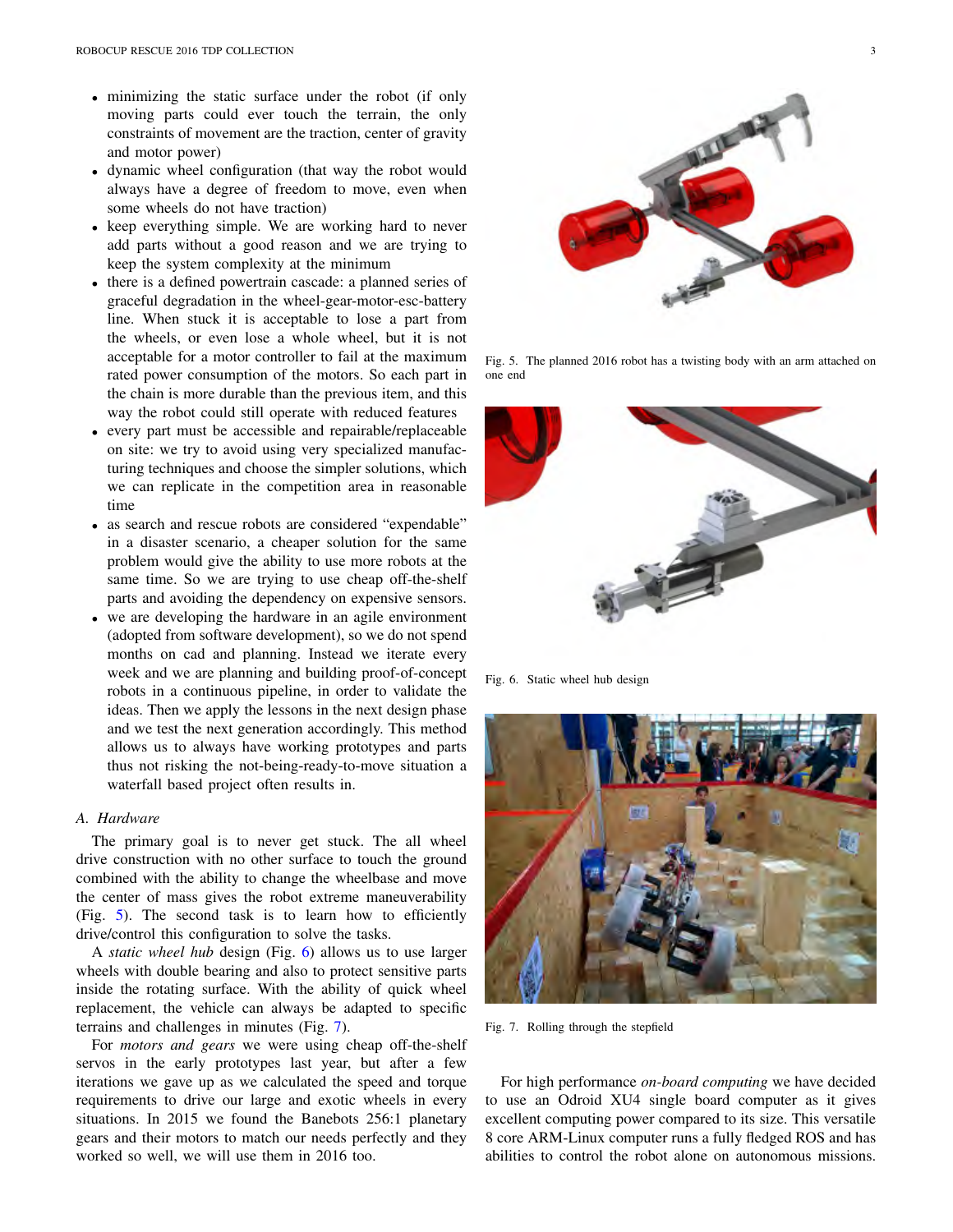- minimizing the static surface under the robot (if only moving parts could ever touch the terrain, the only constraints of movement are the traction, center of gravity and motor power)
- dynamic wheel configuration (that way the robot would always have a degree of freedom to move, even when some wheels do not have traction)
- keep everything simple. We are working hard to never add parts without a good reason and we are trying to keep the system complexity at the minimum
- there is a defined powertrain cascade: a planned series of graceful degradation in the wheel-gear-motor-esc-battery line. When stuck it is acceptable to lose a part from the wheels, or even lose a whole wheel, but it is not acceptable for a motor controller to fail at the maximum rated power consumption of the motors. So each part in the chain is more durable than the previous item, and this way the robot could still operate with reduced features
- every part must be accessible and repairable/replaceable on site: we try to avoid using very specialized manufacturing techniques and choose the simpler solutions, which we can replicate in the competition area in reasonable time
- as search and rescue robots are considered "expendable" in a disaster scenario, a cheaper solution for the same problem would give the ability to use more robots at the same time. So we are trying to use cheap off-the-shelf parts and avoiding the dependency on expensive sensors.
- we are developing the hardware in an agile environment (adopted from software development), so we do not spend months on cad and planning. Instead we iterate every week and we are planning and building proof-of-concept robots in a continuous pipeline, in order to validate the ideas. Then we apply the lessons in the next design phase and we test the next generation accordingly. This method allows us to always have working prototypes and parts thus not risking the not-being-ready-to-move situation a waterfall based project often results in.

## *A. Hardware*

The primary goal is to never get stuck. The all wheel drive construction with no other surface to touch the ground combined with the ability to change the wheelbase and move the center of mass gives the robot extreme maneuverability (Fig. 5). The second task is to learn how to efficiently drive/control this configuration to solve the tasks.

A *static wheel hub* design (Fig. 6) allows us to use larger wheels with double bearing and also to protect sensitive parts inside the rotating surface. With the ability of quick wheel replacement, the vehicle can always be adapted to specific terrains and challenges in minutes (Fig. 7).

For *motors and gears* we were using cheap off-the-shelf servos in the early prototypes last year, but after a few iterations we gave up as we calculated the speed and torque requirements to drive our large and exotic wheels in every situations. In 2015 we found the Banebots 256:1 planetary gears and their motors to match our needs perfectly and they worked so well, we will use them in 2016 too.



Fig. 5. The planned 2016 robot has a twisting body with an arm attached on one end



Fig. 6. Static wheel hub design



Fig. 7. Rolling through the stepfield

For high performance *on-board computing* we have decided to use an Odroid XU4 single board computer as it gives excellent computing power compared to its size. This versatile 8 core ARM-Linux computer runs a fully fledged ROS and has abilities to control the robot alone on autonomous missions.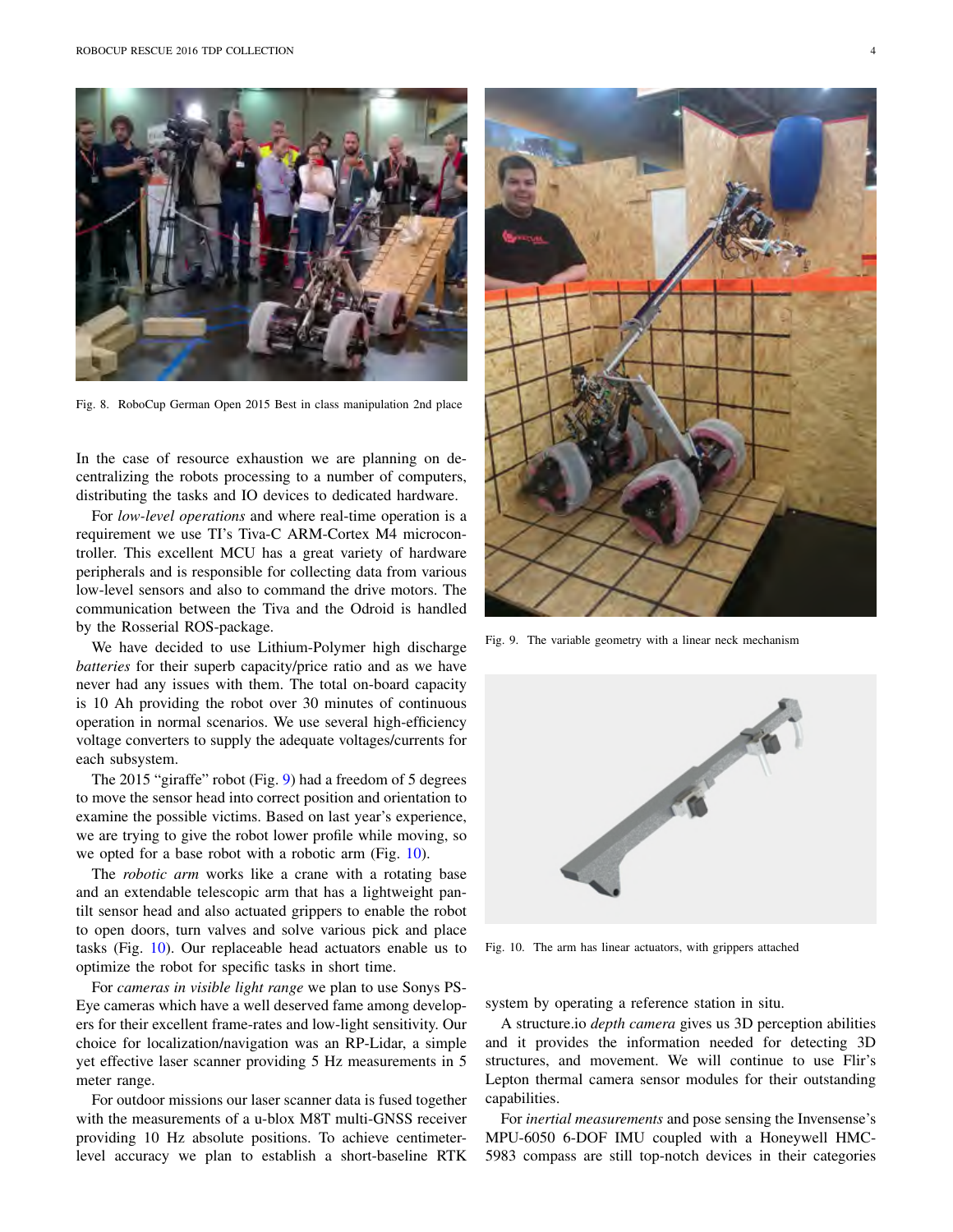

Fig. 8. RoboCup German Open 2015 Best in class manipulation 2nd place

In the case of resource exhaustion we are planning on decentralizing the robots processing to a number of computers, distributing the tasks and IO devices to dedicated hardware.

For *low-level operations* and where real-time operation is a requirement we use TI's Tiva-C ARM-Cortex M4 microcontroller. This excellent MCU has a great variety of hardware peripherals and is responsible for collecting data from various low-level sensors and also to command the drive motors. The communication between the Tiva and the Odroid is handled by the Rosserial ROS-package.

We have decided to use Lithium-Polymer high discharge *batteries* for their superb capacity/price ratio and as we have never had any issues with them. The total on-board capacity is 10 Ah providing the robot over 30 minutes of continuous operation in normal scenarios. We use several high-efficiency voltage converters to supply the adequate voltages/currents for each subsystem.

The 2015 "giraffe" robot (Fig. 9) had a freedom of 5 degrees to move the sensor head into correct position and orientation to examine the possible victims. Based on last year's experience, we are trying to give the robot lower profile while moving, so we opted for a base robot with a robotic arm (Fig. 10).

The *robotic arm* works like a crane with a rotating base and an extendable telescopic arm that has a lightweight pantilt sensor head and also actuated grippers to enable the robot to open doors, turn valves and solve various pick and place tasks (Fig. 10). Our replaceable head actuators enable us to optimize the robot for specific tasks in short time.

For *cameras in visible light range* we plan to use Sonys PS-Eye cameras which have a well deserved fame among developers for their excellent frame-rates and low-light sensitivity. Our choice for localization/navigation was an RP-Lidar, a simple yet effective laser scanner providing 5 Hz measurements in 5 meter range.

For outdoor missions our laser scanner data is fused together with the measurements of a u-blox M8T multi-GNSS receiver providing 10 Hz absolute positions. To achieve centimeterlevel accuracy we plan to establish a short-baseline RTK



Fig. 9. The variable geometry with a linear neck mechanism



Fig. 10. The arm has linear actuators, with grippers attached

system by operating a reference station in situ.

A structure.io *depth camera* gives us 3D perception abilities and it provides the information needed for detecting 3D structures, and movement. We will continue to use Flir's Lepton thermal camera sensor modules for their outstanding capabilities.

For *inertial measurements* and pose sensing the Invensense's MPU-6050 6-DOF IMU coupled with a Honeywell HMC-5983 compass are still top-notch devices in their categories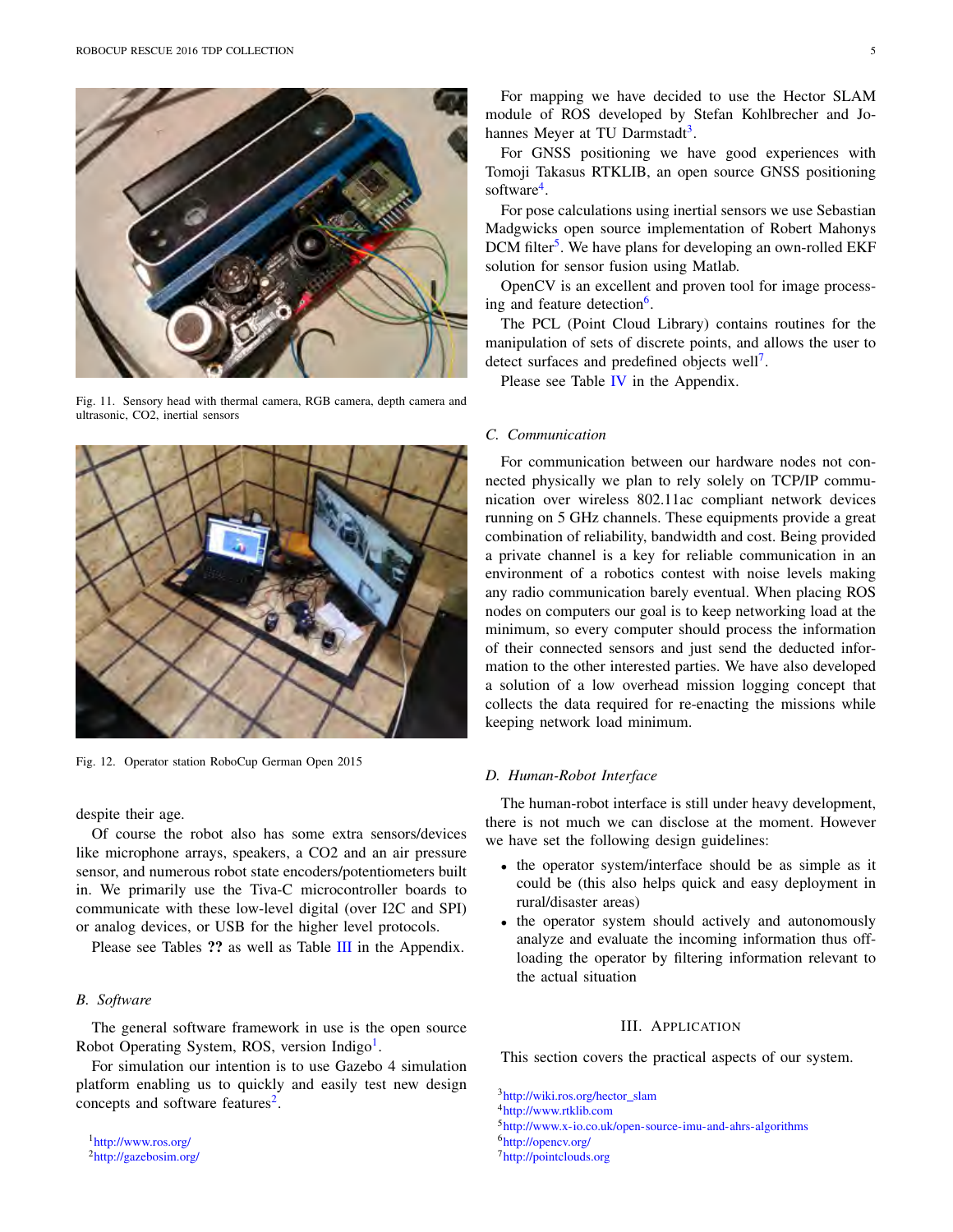

Fig. 11. Sensory head with thermal camera, RGB camera, depth camera and ultrasonic, CO2, inertial sensors



Fig. 12. Operator station RoboCup German Open 2015

despite their age.

Of course the robot also has some extra sensors/devices like microphone arrays, speakers, a CO2 and an air pressure sensor, and numerous robot state encoders/potentiometers built in. We primarily use the Tiva-C microcontroller boards to communicate with these low-level digital (over I2C and SPI) or analog devices, or USB for the higher level protocols.

Please see Tables ?? as well as Table III in the Appendix.

# *B. Software*

The general software framework in use is the open source Robot Operating System, ROS, version Indigo<sup>1</sup>.

For simulation our intention is to use Gazebo 4 simulation platform enabling us to quickly and easily test new design concepts and software features<sup>2</sup>.

1http://www.ros.org/ 2http://gazebosim.org/

For mapping we have decided to use the Hector SLAM module of ROS developed by Stefan Kohlbrecher and Johannes Meyer at TU Darmstadt<sup>3</sup>.

For GNSS positioning we have good experiences with Tomoji Takasus RTKLIB, an open source GNSS positioning software<sup>4</sup>.

For pose calculations using inertial sensors we use Sebastian Madgwicks open source implementation of Robert Mahonys DCM filter<sup>5</sup>. We have plans for developing an own-rolled EKF solution for sensor fusion using Matlab.

OpenCV is an excellent and proven tool for image processing and feature detection<sup>6</sup>.

The PCL (Point Cloud Library) contains routines for the manipulation of sets of discrete points, and allows the user to detect surfaces and predefined objects well<sup>7</sup>.

Please see Table IV in the Appendix.

# *C. Communication*

For communication between our hardware nodes not connected physically we plan to rely solely on TCP/IP communication over wireless 802.11ac compliant network devices running on 5 GHz channels. These equipments provide a great combination of reliability, bandwidth and cost. Being provided a private channel is a key for reliable communication in an environment of a robotics contest with noise levels making any radio communication barely eventual. When placing ROS nodes on computers our goal is to keep networking load at the minimum, so every computer should process the information of their connected sensors and just send the deducted information to the other interested parties. We have also developed a solution of a low overhead mission logging concept that collects the data required for re-enacting the missions while keeping network load minimum.

#### *D. Human-Robot Interface*

The human-robot interface is still under heavy development, there is not much we can disclose at the moment. However we have set the following design guidelines:

- the operator system/interface should be as simple as it could be (this also helps quick and easy deployment in rural/disaster areas)
- the operator system should actively and autonomously analyze and evaluate the incoming information thus offloading the operator by filtering information relevant to the actual situation

## III. APPLICATION

This section covers the practical aspects of our system.

<sup>3</sup>http://wiki.ros.org/hector\_slam 4http://www.rtklib.com

5http://www.x-io.co.uk/open-source-imu-and-ahrs-algorithms 6http://opencv.org/ 7http://pointclouds.org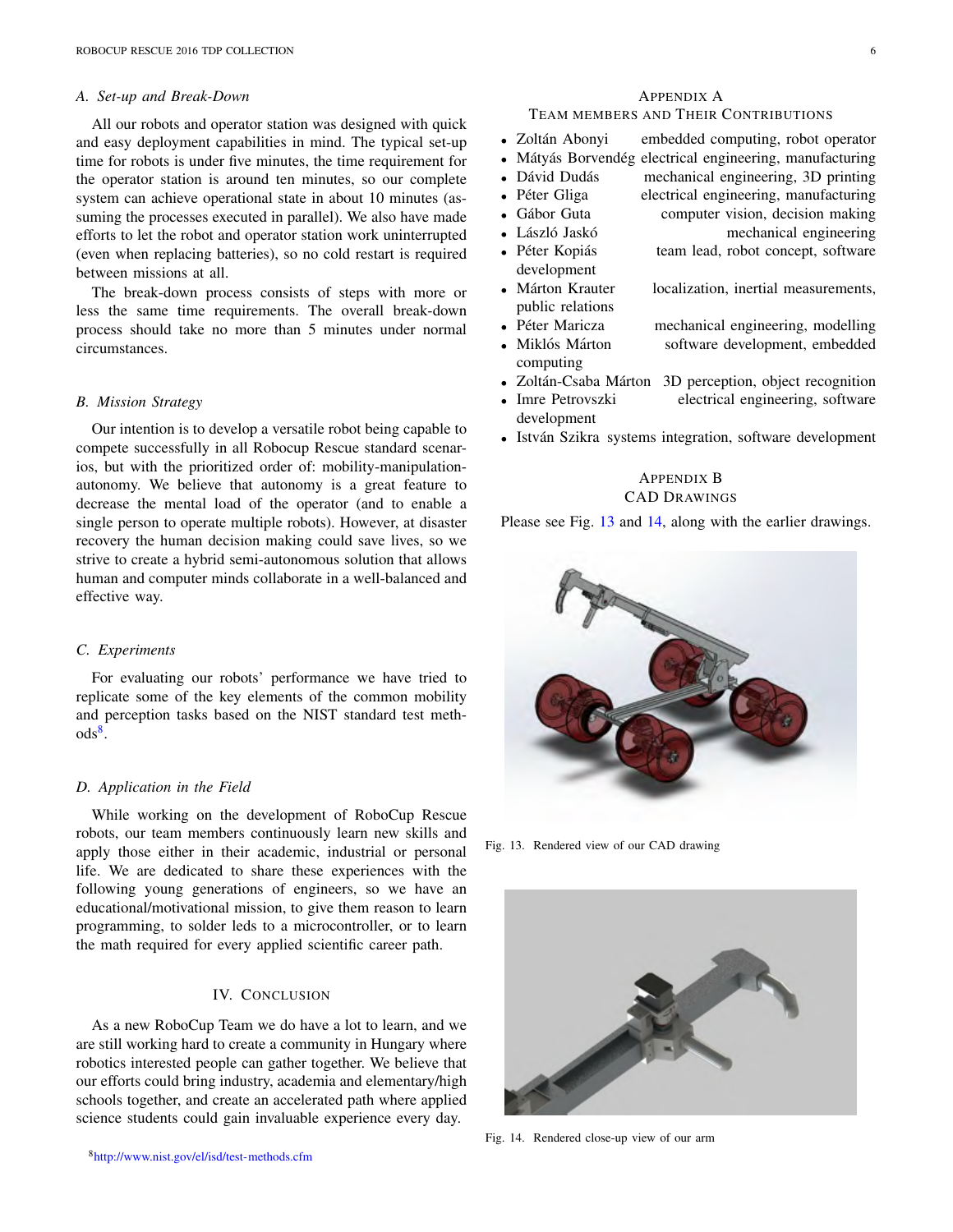#### *A. Set-up and Break-Down*

All our robots and operator station was designed with quick and easy deployment capabilities in mind. The typical set-up time for robots is under five minutes, the time requirement for the operator station is around ten minutes, so our complete system can achieve operational state in about 10 minutes (assuming the processes executed in parallel). We also have made efforts to let the robot and operator station work uninterrupted (even when replacing batteries), so no cold restart is required between missions at all.

The break-down process consists of steps with more or less the same time requirements. The overall break-down process should take no more than 5 minutes under normal circumstances.

#### *B. Mission Strategy*

Our intention is to develop a versatile robot being capable to compete successfully in all Robocup Rescue standard scenarios, but with the prioritized order of: mobility-manipulationautonomy. We believe that autonomy is a great feature to decrease the mental load of the operator (and to enable a single person to operate multiple robots). However, at disaster recovery the human decision making could save lives, so we strive to create a hybrid semi-autonomous solution that allows human and computer minds collaborate in a well-balanced and effective way.

## *C. Experiments*

For evaluating our robots' performance we have tried to replicate some of the key elements of the common mobility and perception tasks based on the NIST standard test meth- $\mathrm{ods}^8$ .

#### *D. Application in the Field*

While working on the development of RoboCup Rescue robots, our team members continuously learn new skills and apply those either in their academic, industrial or personal life. We are dedicated to share these experiences with the following young generations of engineers, so we have an educational/motivational mission, to give them reason to learn programming, to solder leds to a microcontroller, or to learn the math required for every applied scientific career path.

## IV. CONCLUSION

As a new RoboCup Team we do have a lot to learn, and we are still working hard to create a community in Hungary where robotics interested people can gather together. We believe that our efforts could bring industry, academia and elementary/high schools together, and create an accelerated path where applied science students could gain invaluable experience every day.

## APPENDIX A

# TEAM MEMBERS AND THEIR CONTRIBUTIONS

- Zoltán Abonyi embedded computing, robot operator
- Mátyás Borvendég electrical engineering, manufacturing
- Dávid Dudás mechanical engineering, 3D printing
	- Péter Gliga electrical engineering, manufacturing
- Gábor Guta computer vision, decision making
- László Jaskó **i o mechanical engineering**
- Péter Kopiás team lead, robot concept, software development
- Márton Krauter localization, inertial measurements, public relations
- Péter Maricza mechanical engineering, modelling • Miklós Márton software development, embedded
- computing
- Zoltán-Csaba Márton 3D perception, object recognition
- Imre Petrovszki electrical engineering, software development
- István Szikra systems integration, software development

# APPENDIX B CAD DRAWINGS

Please see Fig. 13 and 14, along with the earlier drawings.



Fig. 13. Rendered view of our CAD drawing



Fig. 14. Rendered close-up view of our arm